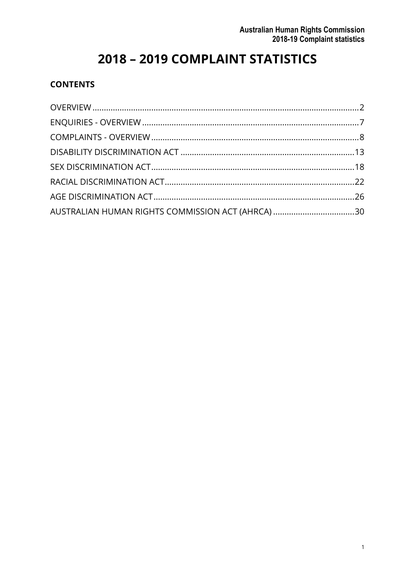# 2018 - 2019 COMPLAINT STATISTICS

#### **CONTENTS**

| AUSTRALIAN HUMAN RIGHTS COMMISSION ACT (AHRCA) 30 |  |
|---------------------------------------------------|--|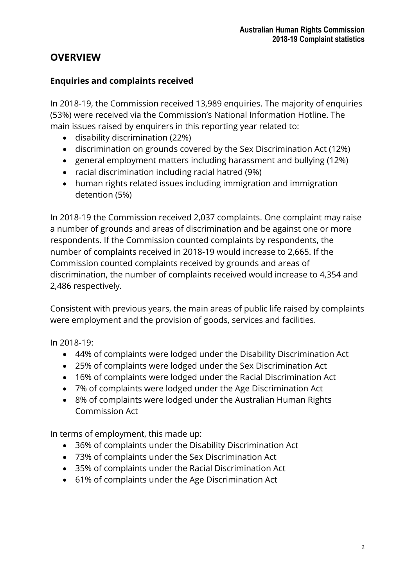# <span id="page-1-0"></span>**OVERVIEW**

#### **Enquiries and complaints received**

In 2018-19, the Commission received 13,989 enquiries. The majority of enquiries (53%) were received via the Commission's National Information Hotline. The main issues raised by enquirers in this reporting year related to:

- disability discrimination (22%)
- discrimination on grounds covered by the Sex Discrimination Act (12%)
- general employment matters including harassment and bullying (12%)
- racial discrimination including racial hatred (9%)
- human rights related issues including immigration and immigration detention (5%)

In 2018-19 the Commission received 2,037 complaints. One complaint may raise a number of grounds and areas of discrimination and be against one or more respondents. If the Commission counted complaints by respondents, the number of complaints received in 2018-19 would increase to 2,665. If the Commission counted complaints received by grounds and areas of discrimination, the number of complaints received would increase to 4,354 and 2,486 respectively.

Consistent with previous years, the main areas of public life raised by complaints were employment and the provision of goods, services and facilities.

In 2018-19:

- 44% of complaints were lodged under the Disability Discrimination Act
- 25% of complaints were lodged under the Sex Discrimination Act
- 16% of complaints were lodged under the Racial Discrimination Act
- 7% of complaints were lodged under the Age Discrimination Act
- 8% of complaints were lodged under the Australian Human Rights Commission Act

In terms of employment, this made up:

- 36% of complaints under the Disability Discrimination Act
- 73% of complaints under the Sex Discrimination Act
- 35% of complaints under the Racial Discrimination Act
- 61% of complaints under the Age Discrimination Act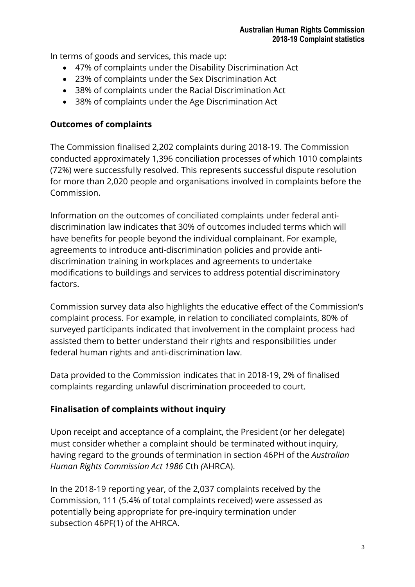In terms of goods and services, this made up:

- 47% of complaints under the Disability Discrimination Act
- 23% of complaints under the Sex Discrimination Act
- 38% of complaints under the Racial Discrimination Act
- 38% of complaints under the Age Discrimination Act

### **Outcomes of complaints**

The Commission finalised 2,202 complaints during 2018-19. The Commission conducted approximately 1,396 conciliation processes of which 1010 complaints (72%) were successfully resolved. This represents successful dispute resolution for more than 2,020 people and organisations involved in complaints before the Commission.

Information on the outcomes of conciliated complaints under federal antidiscrimination law indicates that 30% of outcomes included terms which will have benefits for people beyond the individual complainant. For example, agreements to introduce anti-discrimination policies and provide antidiscrimination training in workplaces and agreements to undertake modifications to buildings and services to address potential discriminatory factors.

Commission survey data also highlights the educative effect of the Commission's complaint process. For example, in relation to conciliated complaints, 80% of surveyed participants indicated that involvement in the complaint process had assisted them to better understand their rights and responsibilities under federal human rights and anti-discrimination law.

Data provided to the Commission indicates that in 2018-19, 2% of finalised complaints regarding unlawful discrimination proceeded to court.

# **Finalisation of complaints without inquiry**

Upon receipt and acceptance of a complaint, the President (or her delegate) must consider whether a complaint should be terminated without inquiry, having regard to the grounds of termination in section 46PH of the *Australian Human Rights Commission Act 1986* Cth *(*AHRCA).

In the 2018-19 reporting year, of the 2,037 complaints received by the Commission, 111 (5.4% of total complaints received) were assessed as potentially being appropriate for pre-inquiry termination under subsection 46PF(1) of the AHRCA.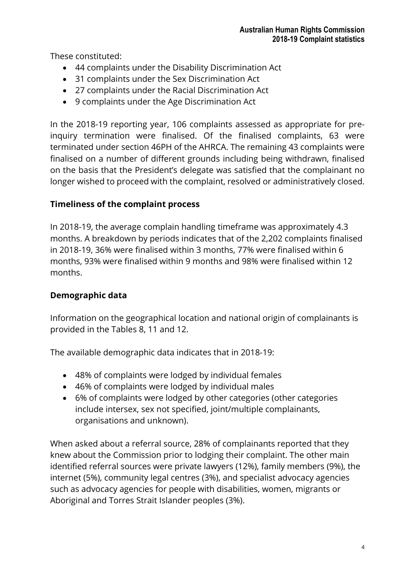These constituted:

- 44 complaints under the Disability Discrimination Act
- 31 complaints under the Sex Discrimination Act
- 27 complaints under the Racial Discrimination Act
- 9 complaints under the Age Discrimination Act

In the 2018-19 reporting year, 106 complaints assessed as appropriate for preinquiry termination were finalised. Of the finalised complaints, 63 were terminated under section 46PH of the AHRCA. The remaining 43 complaints were finalised on a number of different grounds including being withdrawn, finalised on the basis that the President's delegate was satisfied that the complainant no longer wished to proceed with the complaint, resolved or administratively closed.

### **Timeliness of the complaint process**

In 2018-19, the average complain handling timeframe was approximately 4.3 months. A breakdown by periods indicates that of the 2,202 complaints finalised in 2018-19, 36% were finalised within 3 months, 77% were finalised within 6 months, 93% were finalised within 9 months and 98% were finalised within 12 months.

### **Demographic data**

Information on the geographical location and national origin of complainants is provided in the Tables 8, 11 and 12.

The available demographic data indicates that in 2018-19:

- 48% of complaints were lodged by individual females
- 46% of complaints were lodged by individual males
- 6% of complaints were lodged by other categories (other categories include intersex, sex not specified, joint/multiple complainants, organisations and unknown).

When asked about a referral source, 28% of complainants reported that they knew about the Commission prior to lodging their complaint. The other main identified referral sources were private lawyers (12%), family members (9%), the internet (5%), community legal centres (3%), and specialist advocacy agencies such as advocacy agencies for people with disabilities, women, migrants or Aboriginal and Torres Strait Islander peoples (3%).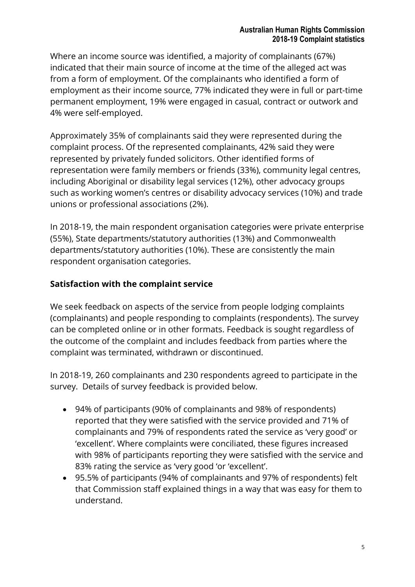Where an income source was identified, a majority of complainants (67%) indicated that their main source of income at the time of the alleged act was from a form of employment. Of the complainants who identified a form of employment as their income source, 77% indicated they were in full or part-time permanent employment, 19% were engaged in casual, contract or outwork and 4% were self-employed.

Approximately 35% of complainants said they were represented during the complaint process. Of the represented complainants, 42% said they were represented by privately funded solicitors. Other identified forms of representation were family members or friends (33%), community legal centres, including Aboriginal or disability legal services (12%), other advocacy groups such as working women's centres or disability advocacy services (10%) and trade unions or professional associations (2%).

In 2018-19, the main respondent organisation categories were private enterprise (55%), State departments/statutory authorities (13%) and Commonwealth departments/statutory authorities (10%). These are consistently the main respondent organisation categories.

#### **Satisfaction with the complaint service**

We seek feedback on aspects of the service from people lodging complaints (complainants) and people responding to complaints (respondents). The survey can be completed online or in other formats. Feedback is sought regardless of the outcome of the complaint and includes feedback from parties where the complaint was terminated, withdrawn or discontinued.

In 2018-19, 260 complainants and 230 respondents agreed to participate in the survey. Details of survey feedback is provided below.

- 94% of participants (90% of complainants and 98% of respondents) reported that they were satisfied with the service provided and 71% of complainants and 79% of respondents rated the service as 'very good' or 'excellent'. Where complaints were conciliated, these figures increased with 98% of participants reporting they were satisfied with the service and 83% rating the service as 'very good 'or 'excellent'.
- 95.5% of participants (94% of complainants and 97% of respondents) felt that Commission staff explained things in a way that was easy for them to understand.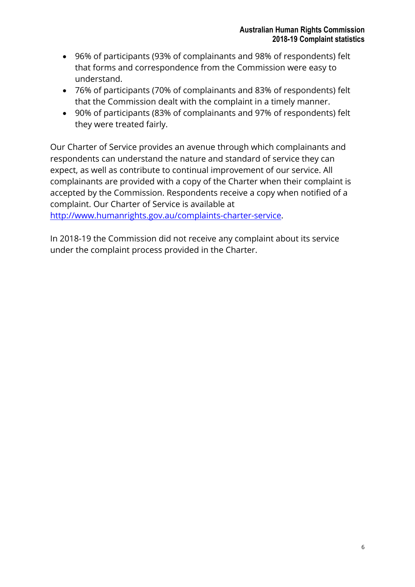- 96% of participants (93% of complainants and 98% of respondents) felt that forms and correspondence from the Commission were easy to understand.
- 76% of participants (70% of complainants and 83% of respondents) felt that the Commission dealt with the complaint in a timely manner.
- 90% of participants (83% of complainants and 97% of respondents) felt they were treated fairly.

Our Charter of Service provides an avenue through which complainants and respondents can understand the nature and standard of service they can expect, as well as contribute to continual improvement of our service. All complainants are provided with a copy of the Charter when their complaint is accepted by the Commission. Respondents receive a copy when notified of a complaint. Our Charter of Service is available at

[http://www.humanrights.gov.au/complaints-charter-service.](http://www.humanrights.gov.au/complaints-charter-service)

In 2018-19 the Commission did not receive any complaint about its service under the complaint process provided in the Charter.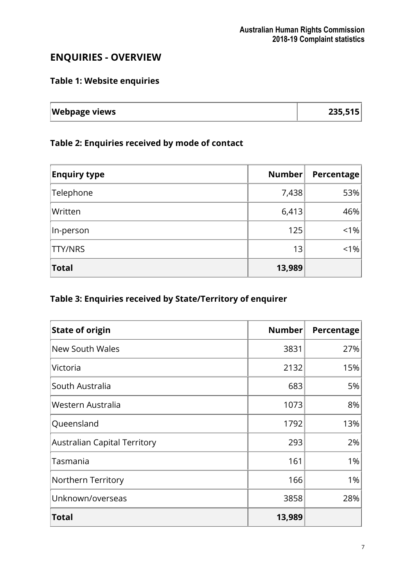# <span id="page-6-0"></span>**ENQUIRIES - OVERVIEW**

### **Table 1: Website enquiries**

| <b>Webpage views</b> | 235,515 |
|----------------------|---------|
|                      |         |

#### **Table 2: Enquiries received by mode of contact**

| <b>Enquiry type</b> | Number | Percentage |
|---------------------|--------|------------|
| Telephone           | 7,438  | 53%        |
| Written             | 6,413  | 46%        |
| In-person           | 125    | < 1%       |
| <b>TTY/NRS</b>      | 13     | $< 1\%$    |
| <b>Total</b>        | 13,989 |            |

# **Table 3: Enquiries received by State/Territory of enquirer**

| <b>State of origin</b>              | <b>Number</b> | Percentage |
|-------------------------------------|---------------|------------|
| <b>New South Wales</b>              | 3831          | 27%        |
| Victoria                            | 2132          | 15%        |
| South Australia                     | 683           | 5%         |
| Western Australia                   | 1073          | 8%         |
| Queensland                          | 1792          | 13%        |
| <b>Australian Capital Territory</b> | 293           | 2%         |
| Tasmania                            | 161           | 1%         |
| Northern Territory                  | 166           | 1%         |
| Unknown/overseas                    | 3858          | 28%        |
| <b>Total</b>                        | 13,989        |            |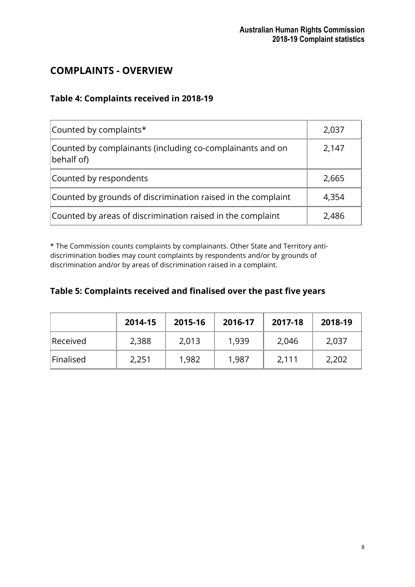# <span id="page-7-0"></span>**COMPLAINTS - OVERVIEW**

#### **Table 4: Complaints received in 2018-19**

| Counted by complaints*                                                  | 2,037 |
|-------------------------------------------------------------------------|-------|
| Counted by complainants (including co-complainants and on<br>behalf of) | 2,147 |
| Counted by respondents                                                  | 2,665 |
| Counted by grounds of discrimination raised in the complaint            | 4,354 |
| Counted by areas of discrimination raised in the complaint              | 2,486 |

\* The Commission counts complaints by complainants. Other State and Territory antidiscrimination bodies may count complaints by respondents and/or by grounds of discrimination and/or by areas of discrimination raised in a complaint.

#### **Table 5: Complaints received and finalised over the past five years**

|           | 2014-15 | 2015-16 | 2016-17 | 2017-18 | 2018-19 |
|-----------|---------|---------|---------|---------|---------|
| Received  | 2,388   | 2,013   | 1,939   | 2,046   | 2,037   |
| Finalised | 2,251   | 1,982   | 1,987   | 2,111   | 2,202   |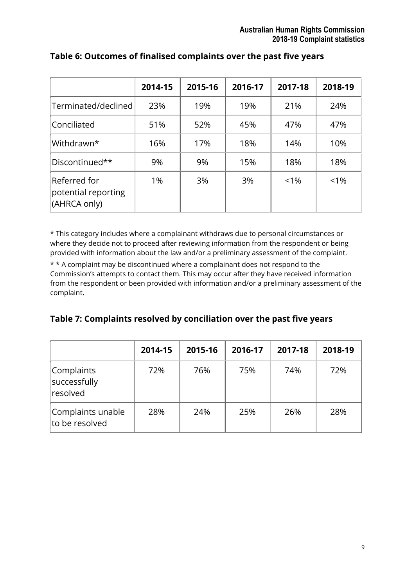|                                                     | 2014-15 | 2015-16 | 2016-17 | 2017-18 | 2018-19 |
|-----------------------------------------------------|---------|---------|---------|---------|---------|
| Terminated/declined                                 | 23%     | 19%     | 19%     | 21%     | 24%     |
| Conciliated                                         | 51%     | 52%     | 45%     | 47%     | 47%     |
| Withdrawn*                                          | 16%     | 17%     | 18%     | 14%     | 10%     |
| Discontinued**                                      | 9%      | 9%      | 15%     | 18%     | 18%     |
| Referred for<br>potential reporting<br>(AHRCA only) | 1%      | 3%      | 3%      | $< 1\%$ | $< 1\%$ |

#### **Table 6: Outcomes of finalised complaints over the past five years**

\* This category includes where a complainant withdraws due to personal circumstances or where they decide not to proceed after reviewing information from the respondent or being provided with information about the law and/or a preliminary assessment of the complaint.

\* \* A complaint may be discontinued where a complainant does not respond to the Commission's attempts to contact them. This may occur after they have received information from the respondent or been provided with information and/or a preliminary assessment of the complaint.

#### **Table 7: Complaints resolved by conciliation over the past five years**

|                                        | 2014-15 | 2015-16 | 2016-17 | 2017-18 | 2018-19 |
|----------------------------------------|---------|---------|---------|---------|---------|
| Complaints<br>successfully<br>resolved | 72%     | 76%     | 75%     | 74%     | 72%     |
| Complaints unable<br>to be resolved    | 28%     | 24%     | 25%     | 26%     | 28%     |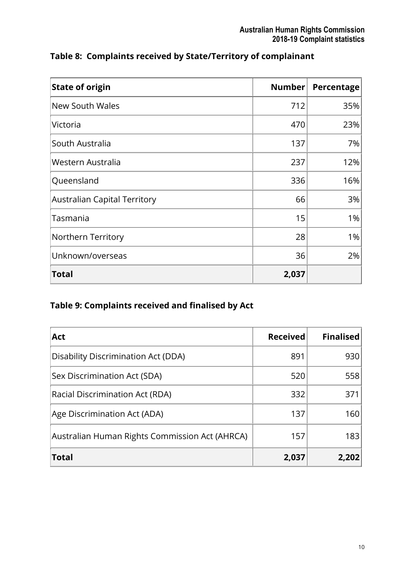| <b>State of origin</b>              | Number | Percentage |
|-------------------------------------|--------|------------|
| <b>New South Wales</b>              | 712    | 35%        |
| Victoria                            | 470    | 23%        |
| South Australia                     | 137    | 7%         |
| Western Australia                   | 237    | 12%        |
| Queensland                          | 336    | 16%        |
| <b>Australian Capital Territory</b> | 66     | 3%         |
| Tasmania                            | 15     | 1%         |
| Northern Territory                  | 28     | 1%         |
| Unknown/overseas                    | 36     | 2%         |
| Total                               | 2,037  |            |

# **Table 8: Complaints received by State/Territory of complainant**

# **Table 9: Complaints received and finalised by Act**

| <b>Act</b>                                     | <b>Received</b> | <b>Finalised</b> |
|------------------------------------------------|-----------------|------------------|
| Disability Discrimination Act (DDA)            | 891             | 930              |
| Sex Discrimination Act (SDA)                   | 520             | 558              |
| Racial Discrimination Act (RDA)                | 332             | 371              |
| Age Discrimination Act (ADA)                   | 137             | 160              |
| Australian Human Rights Commission Act (AHRCA) | 157             | 183              |
| <b>Total</b>                                   | 2,037           | 2,202            |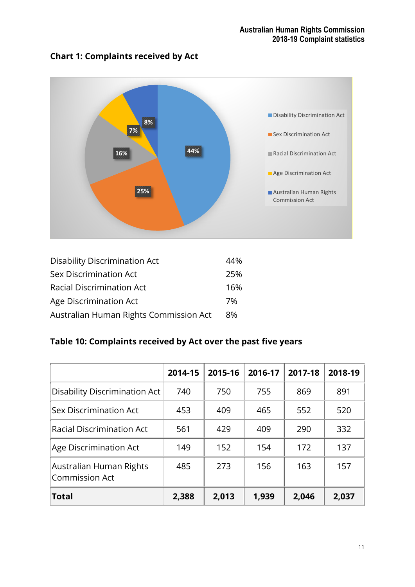### **Chart 1: Complaints received by Act**



| <b>Disability Discrimination Act</b>   | 44% |
|----------------------------------------|-----|
| <b>Sex Discrimination Act</b>          | 25% |
| <b>Racial Discrimination Act</b>       | 16% |
| Age Discrimination Act                 | 7%  |
| Australian Human Rights Commission Act | 8%  |

# **Table 10: Complaints received by Act over the past five years**

|                                                  | 2014-15 | 2015-16 | 2016-17 | 2017-18 | 2018-19 |
|--------------------------------------------------|---------|---------|---------|---------|---------|
| <b>Disability Discrimination Act</b>             | 740     | 750     | 755     | 869     | 891     |
| <b>Sex Discrimination Act</b>                    | 453     | 409     | 465     | 552     | 520     |
| <b>Racial Discrimination Act</b>                 | 561     | 429     | 409     | 290     | 332     |
| Age Discrimination Act                           | 149     | 152     | 154     | 172     | 137     |
| Australian Human Rights<br><b>Commission Act</b> | 485     | 273     | 156     | 163     | 157     |
| <b>Total</b>                                     | 2,388   | 2,013   | 1,939   | 2,046   | 2,037   |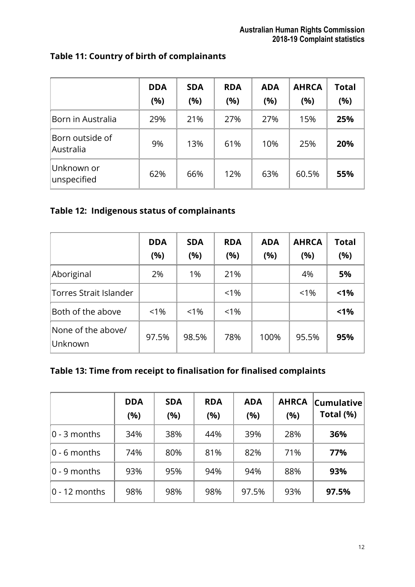|                              | <b>DDA</b><br>(%) | <b>SDA</b><br>(%) | <b>RDA</b><br>(%) | <b>ADA</b><br>(%) | <b>AHRCA</b><br>(%) | <b>Total</b><br>(%) |
|------------------------------|-------------------|-------------------|-------------------|-------------------|---------------------|---------------------|
| Born in Australia            | 29%               | 21%               | 27%               | 27%               | 15%                 | 25%                 |
| Born outside of<br>Australia | 9%                | 13%               | 61%               | 10%               | 25%                 | 20%                 |
| Unknown or<br>unspecified    | 62%               | 66%               | 12%               | 63%               | 60.5%               | 55%                 |

# **Table 11: Country of birth of complainants**

### **Table 12: Indigenous status of complainants**

|                               | <b>DDA</b><br>(%) | <b>SDA</b><br>(%) | <b>RDA</b><br>(%) | <b>ADA</b><br>(%) | <b>AHRCA</b><br>(%) | <b>Total</b><br>(%) |
|-------------------------------|-------------------|-------------------|-------------------|-------------------|---------------------|---------------------|
| Aboriginal                    | 2%                | 1%                | 21%               |                   | 4%                  | 5%                  |
| Torres Strait Islander        |                   |                   | $< 1\%$           |                   | $< 1\%$             | $< 1\%$             |
| Both of the above             | $< 1\%$           | $< 1\%$           | $< 1\%$           |                   |                     | $< 1\%$             |
| None of the above/<br>Unknown | 97.5%             | 98.5%             | 78%               | 100%              | 95.5%               | 95%                 |

# **Table 13: Time from receipt to finalisation for finalised complaints**

|                 | <b>DDA</b><br>(%) | <b>SDA</b><br>(%) | <b>RDA</b><br>(%) | <b>ADA</b><br>(%) | <b>AHRCA</b><br>(%) | $ $ Cumulative $ $<br>Total (%) |
|-----------------|-------------------|-------------------|-------------------|-------------------|---------------------|---------------------------------|
| $0 - 3$ months  | 34%               | 38%               | 44%               | 39%               | 28%                 | 36%                             |
| $0 - 6$ months  | 74%               | 80%               | 81%               | 82%               | 71%                 | 77%                             |
| $0 - 9$ months  | 93%               | 95%               | 94%               | 94%               | 88%                 | 93%                             |
| $0 - 12$ months | 98%               | 98%               | 98%               | 97.5%             | 93%                 | 97.5%                           |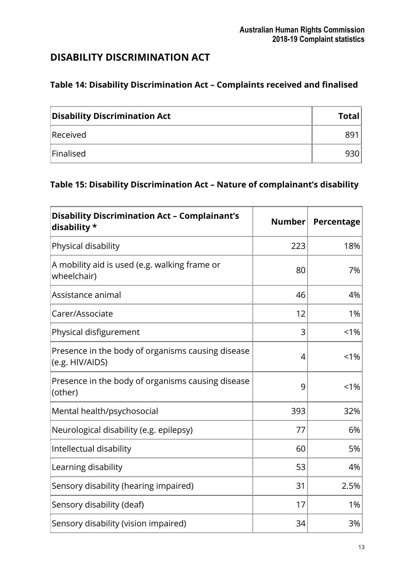# <span id="page-12-0"></span>**DISABILITY DISCRIMINATION ACT**

# **Table 14: Disability Discrimination Act – Complaints received and finalised**

| <b>Disability Discrimination Act</b> | <b>Total</b> |
|--------------------------------------|--------------|
| Received                             | 891          |
| Finalised                            | 930'         |

# **Table 15: Disability Discrimination Act – Nature of complainant's disability**

| <b>Disability Discrimination Act - Complainant's</b><br>disability * | <b>Number</b> | Percentage |
|----------------------------------------------------------------------|---------------|------------|
| Physical disability                                                  | 223           | 18%        |
| A mobility aid is used (e.g. walking frame or<br>wheelchair)         | 80            | 7%         |
| Assistance animal                                                    | 46            | 4%         |
| Carer/Associate                                                      | 12            | 1%         |
| Physical disfigurement                                               | 3             | $< 1\%$    |
| Presence in the body of organisms causing disease<br>(e.g. HIV/AIDS) | 4             | $< 1\%$    |
| Presence in the body of organisms causing disease<br>(other)         | 9             | $< 1\%$    |
| Mental health/psychosocial                                           | 393           | 32%        |
| Neurological disability (e.g. epilepsy)                              | 77            | 6%         |
| Intellectual disability                                              | 60            | 5%         |
| Learning disability                                                  | 53            | 4%         |
| Sensory disability (hearing impaired)                                | 31            | 2.5%       |
| Sensory disability (deaf)                                            | 17            | 1%         |
| Sensory disability (vision impaired)                                 | 34            | 3%         |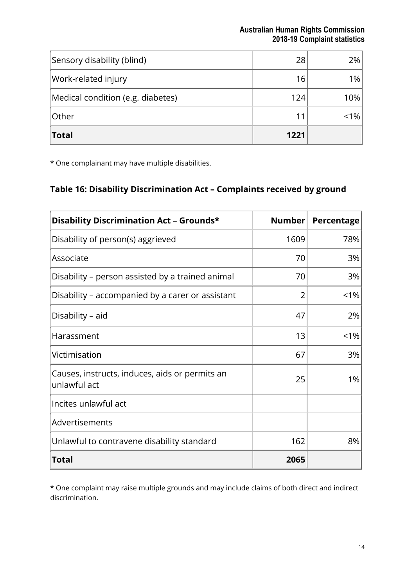| <b>Total</b>                      | 1221 |         |
|-----------------------------------|------|---------|
| Other                             |      | $< 1\%$ |
| Medical condition (e.g. diabetes) | 124  | 10%     |
| Work-related injury               | 16   | 1%      |
| Sensory disability (blind)        | 28   | 2%      |

\* One complainant may have multiple disabilities.

# **Table 16: Disability Discrimination Act – Complaints received by ground**

| Disability Discrimination Act - Grounds*                       | Number | Percentage |
|----------------------------------------------------------------|--------|------------|
| Disability of person(s) aggrieved                              | 1609   | 78%        |
| Associate                                                      | 70     | 3%         |
| Disability - person assisted by a trained animal               | 70     | 3%         |
| Disability - accompanied by a carer or assistant               | 2      | $< 1\%$    |
| Disability - aid                                               | 47     | 2%         |
| Harassment                                                     | 13     | $< 1\%$    |
| Victimisation                                                  | 67     | 3%         |
| Causes, instructs, induces, aids or permits an<br>unlawful act | 25     | 1%         |
| Incites unlawful act                                           |        |            |
| Advertisements                                                 |        |            |
| Unlawful to contravene disability standard                     | 162    | 8%         |
| <b>Total</b>                                                   | 2065   |            |

\* One complaint may raise multiple grounds and may include claims of both direct and indirect discrimination.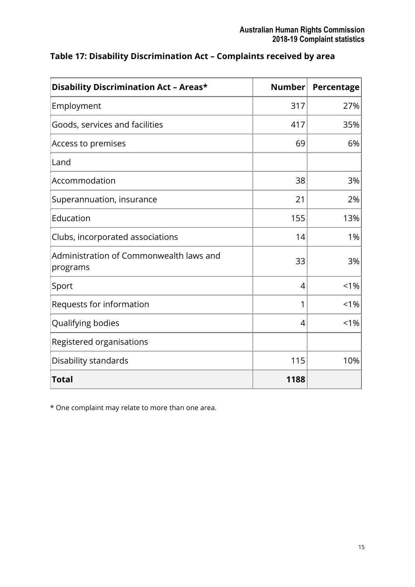| <b>Disability Discrimination Act - Areas*</b>       | <b>Number</b>  | Percentage |
|-----------------------------------------------------|----------------|------------|
| Employment                                          | 317            | 27%        |
| Goods, services and facilities                      | 417            | 35%        |
| Access to premises                                  | 69             | 6%         |
| Land                                                |                |            |
| Accommodation                                       | 38             | 3%         |
| Superannuation, insurance                           | 21             | 2%         |
| Education                                           | 155            | 13%        |
| Clubs, incorporated associations                    | 14             | 1%         |
| Administration of Commonwealth laws and<br>programs | 33             | 3%         |
| Sport                                               | $\overline{4}$ | $1\%$      |
| Requests for information                            | 1              | 1%         |
| Qualifying bodies                                   | 4              | $< 1\%$    |
| Registered organisations                            |                |            |
| Disability standards                                | 115            | 10%        |
| <b>Total</b>                                        | 1188           |            |

### **Table 17: Disability Discrimination Act – Complaints received by area**

\* One complaint may relate to more than one area.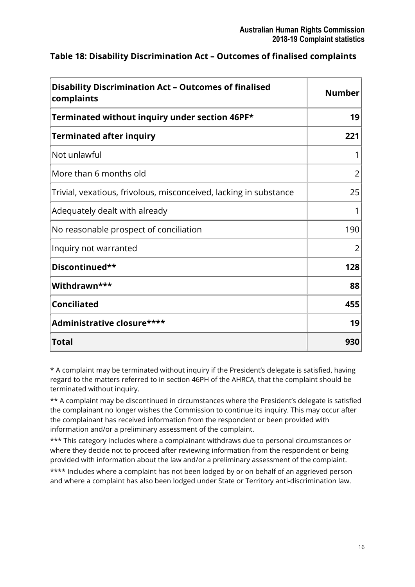| <b>Disability Discrimination Act - Outcomes of finalised</b><br>complaints | <b>Number</b> |  |
|----------------------------------------------------------------------------|---------------|--|
| Terminated without inquiry under section 46PF*                             | 19            |  |
| <b>Terminated after inquiry</b>                                            | 221           |  |
| Not unlawful                                                               |               |  |
| More than 6 months old                                                     | 2             |  |
| Trivial, vexatious, frivolous, misconceived, lacking in substance          | 25            |  |
| Adequately dealt with already                                              | 1             |  |
| No reasonable prospect of conciliation                                     | 190           |  |
| Inquiry not warranted                                                      | 2             |  |
| Discontinued**                                                             | 128           |  |
| Withdrawn***                                                               | 88            |  |
| <b>Conciliated</b>                                                         | 455           |  |
| Administrative closure****                                                 | 19            |  |
| <b>Total</b>                                                               | 930           |  |

### **Table 18: Disability Discrimination Act – Outcomes of finalised complaints**

\* A complaint may be terminated without inquiry if the President's delegate is satisfied, having regard to the matters referred to in section 46PH of the AHRCA, that the complaint should be terminated without inquiry.

\*\* A complaint may be discontinued in circumstances where the President's delegate is satisfied the complainant no longer wishes the Commission to continue its inquiry. This may occur after the complainant has received information from the respondent or been provided with information and/or a preliminary assessment of the complaint.

\*\*\* This category includes where a complainant withdraws due to personal circumstances or where they decide not to proceed after reviewing information from the respondent or being provided with information about the law and/or a preliminary assessment of the complaint.

\*\*\*\* Includes where a complaint has not been lodged by or on behalf of an aggrieved person and where a complaint has also been lodged under State or Territory anti-discrimination law.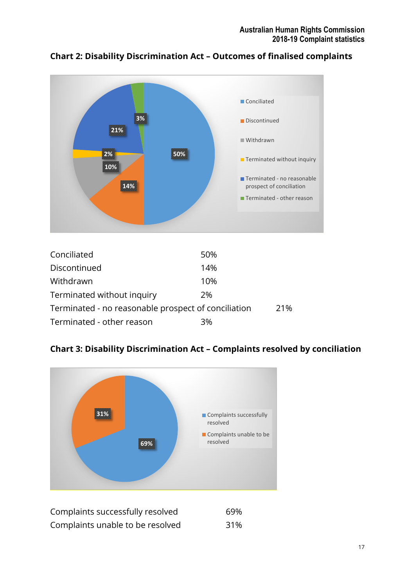

#### **Chart 2: Disability Discrimination Act – Outcomes of finalised complaints**

| Conciliated                                         | 50% |     |
|-----------------------------------------------------|-----|-----|
| Discontinued                                        | 14% |     |
| Withdrawn                                           | 10% |     |
| Terminated without inquiry                          | 2%  |     |
| Terminated - no reasonable prospect of conciliation |     | 21% |
| Terminated - other reason                           | 3%  |     |

#### **Chart 3: Disability Discrimination Act – Complaints resolved by conciliation**



| Complaints successfully resolved | 69% |
|----------------------------------|-----|
| Complaints unable to be resolved | 31% |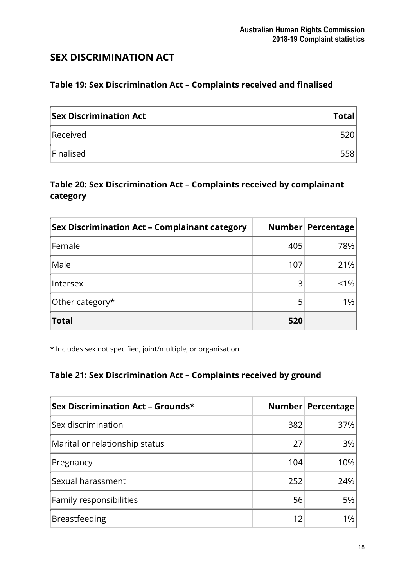# <span id="page-17-0"></span>**SEX DISCRIMINATION ACT**

#### **Table 19: Sex Discrimination Act – Complaints received and finalised**

| <b>Sex Discrimination Act</b> | <b>Total</b> |
|-------------------------------|--------------|
| Received                      | 5201         |
| Finalised                     | 558          |

### **Table 20: Sex Discrimination Act – Complaints received by complainant category**

| <b>Sex Discrimination Act - Complainant category</b> |     | Number Percentage |
|------------------------------------------------------|-----|-------------------|
| Female                                               | 405 | 78%               |
| Male                                                 | 107 | 21%               |
| Intersex                                             | 3   | $< 1\%$           |
| Other category*                                      |     | 1%                |
| <b>Total</b>                                         | 520 |                   |

\* Includes sex not specified, joint/multiple, or organisation

### **Table 21: Sex Discrimination Act – Complaints received by ground**

| Sex Discrimination Act – Grounds $*$ |     | Number Percentage |
|--------------------------------------|-----|-------------------|
| Sex discrimination                   | 382 | 37%               |
| Marital or relationship status       | 27  | 3%                |
| Pregnancy                            | 104 | 10%               |
| Sexual harassment                    | 252 | 24%               |
| Family responsibilities              | 56  | 5%                |
| <b>Breastfeeding</b>                 | 12  | 1%                |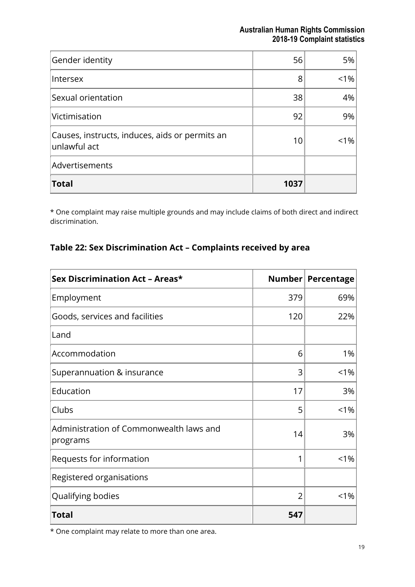| Gender identity                                                         | 56   | 5%      |
|-------------------------------------------------------------------------|------|---------|
| Intersex                                                                | 8    | $1\%$   |
| Sexual orientation                                                      | 38   | 4%      |
| Victimisation                                                           | 92   | 9%      |
| Causes, instructs, induces, aids or permits an<br>$\left $ unlawful act | 10   | $< 1\%$ |
| Advertisements                                                          |      |         |
| <b>Total</b>                                                            | 1037 |         |

\* One complaint may raise multiple grounds and may include claims of both direct and indirect discrimination.

#### **Table 22: Sex Discrimination Act – Complaints received by area**

| <b>Sex Discrimination Act - Areas*</b>              |                | Number   Percentage |
|-----------------------------------------------------|----------------|---------------------|
| Employment                                          | 379            | 69%                 |
| Goods, services and facilities                      | 120            | 22%                 |
| Land                                                |                |                     |
| Accommodation                                       | 6              | 1%                  |
| Superannuation & insurance                          | 3              | $< 1\%$             |
| Education                                           | 17             | 3%                  |
| Clubs                                               | 5              | $< 1\%$             |
| Administration of Commonwealth laws and<br>programs | 14             | 3%                  |
| Requests for information                            |                | $< 1\%$             |
| Registered organisations                            |                |                     |
| Qualifying bodies                                   | $\overline{2}$ | $< 1\%$             |
| <b>Total</b>                                        | 547            |                     |

\* One complaint may relate to more than one area.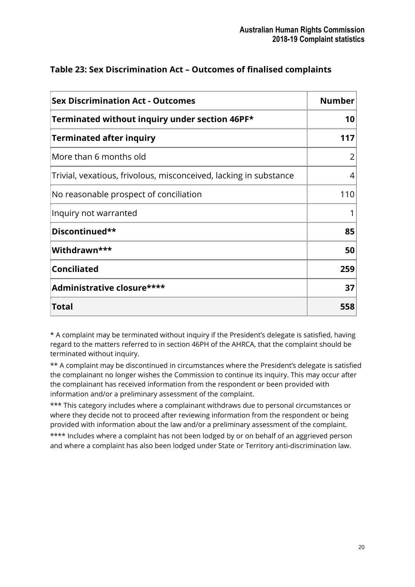| <b>Sex Discrimination Act - Outcomes</b>                          | <b>Number</b> |
|-------------------------------------------------------------------|---------------|
| Terminated without inquiry under section 46PF*                    | 10            |
| <b>Terminated after inquiry</b>                                   | 117           |
| More than 6 months old                                            | 2             |
| Trivial, vexatious, frivolous, misconceived, lacking in substance | 4             |
| No reasonable prospect of conciliation                            | 110           |
| Inquiry not warranted                                             |               |
| Discontinued**                                                    | 85            |
| Withdrawn***                                                      | 50            |
| <b>Conciliated</b>                                                | 259           |
| Administrative closure****                                        | 37            |
| Total                                                             | 558           |

#### **Table 23: Sex Discrimination Act – Outcomes of finalised complaints**

\* A complaint may be terminated without inquiry if the President's delegate is satisfied, having regard to the matters referred to in section 46PH of the AHRCA, that the complaint should be terminated without inquiry.

\*\* A complaint may be discontinued in circumstances where the President's delegate is satisfied the complainant no longer wishes the Commission to continue its inquiry. This may occur after the complainant has received information from the respondent or been provided with information and/or a preliminary assessment of the complaint.

\*\*\* This category includes where a complainant withdraws due to personal circumstances or where they decide not to proceed after reviewing information from the respondent or being provided with information about the law and/or a preliminary assessment of the complaint.

\*\*\*\* Includes where a complaint has not been lodged by or on behalf of an aggrieved person and where a complaint has also been lodged under State or Territory anti-discrimination law.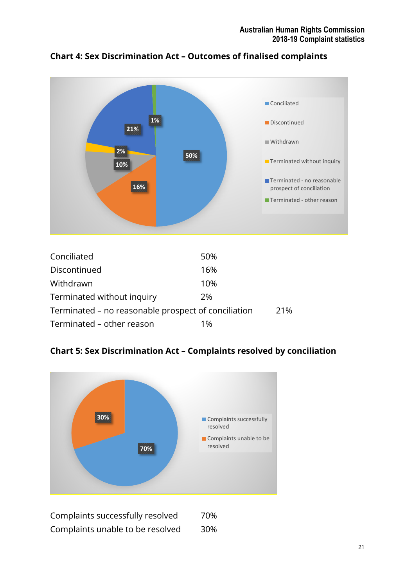



| Conciliated                                         | 50% |     |
|-----------------------------------------------------|-----|-----|
| Discontinued                                        | 16% |     |
| Withdrawn                                           | 10% |     |
| Terminated without inquiry                          | 2%  |     |
| Terminated – no reasonable prospect of conciliation |     | 21% |
| Terminated – other reason                           | 1%  |     |

**Chart 5: Sex Discrimination Act – Complaints resolved by conciliation** 



Complaints successfully resolved 70% Complaints unable to be resolved 30%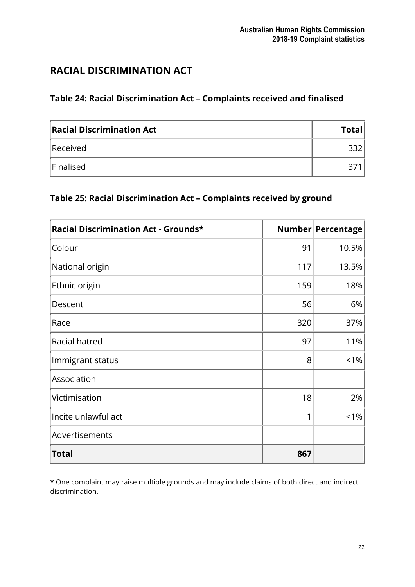# <span id="page-21-0"></span>**RACIAL DISCRIMINATION ACT**

# **Table 24: Racial Discrimination Act – Complaints received and finalised**

| <b>Racial Discrimination Act</b> | <b>Total</b> |
|----------------------------------|--------------|
| Received                         |              |
| Finalised                        |              |

# **Table 25: Racial Discrimination Act – Complaints received by ground**

| Racial Discrimination Act - Grounds* |     | Number Percentage |
|--------------------------------------|-----|-------------------|
| Colour                               | 91  | 10.5%             |
| National origin                      | 117 | 13.5%             |
| Ethnic origin                        | 159 | 18%               |
| Descent                              | 56  | 6%                |
| Race                                 | 320 | 37%               |
| Racial hatred                        | 97  | 11%               |
| Immigrant status                     | 8   | $< 1\%$           |
| Association                          |     |                   |
| Victimisation                        | 18  | 2%                |
| Incite unlawful act                  | 1   | $< 1\%$           |
| Advertisements                       |     |                   |
| <b>Total</b>                         | 867 |                   |

\* One complaint may raise multiple grounds and may include claims of both direct and indirect discrimination.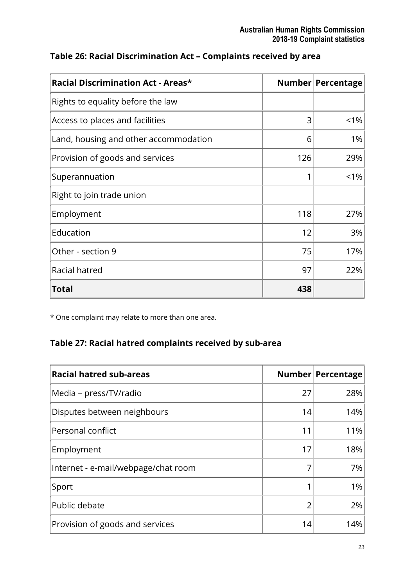| <b>Racial Discrimination Act - Areas*</b> |     | Number   Percentage |
|-------------------------------------------|-----|---------------------|
| Rights to equality before the law         |     |                     |
| Access to places and facilities           | 3   | $< 1\%$             |
| Land, housing and other accommodation     | 6   | 1%                  |
| Provision of goods and services           | 126 | 29%                 |
| Superannuation                            | 1   | $< 1\%$             |
| Right to join trade union                 |     |                     |
| Employment                                | 118 | 27%                 |
| Education                                 | 12  | 3%                  |
| Other - section 9                         | 75  | 17%                 |
| Racial hatred                             | 97  | 22%                 |
| Total                                     | 438 |                     |

#### **Table 26: Racial Discrimination Act – Complaints received by area**

\* One complaint may relate to more than one area.

# **Table 27: Racial hatred complaints received by sub-area**

| <b>Racial hatred sub-areas</b>      |    | Number Percentage |
|-------------------------------------|----|-------------------|
| Media - press/TV/radio              | 27 | 28%               |
| Disputes between neighbours         | 14 | 14%               |
| Personal conflict                   | 11 | 11%               |
| Employment                          | 17 | 18%               |
| Internet - e-mail/webpage/chat room |    | 7%                |
| Sport                               |    | 1%                |
| Public debate                       | っ  | 2%                |
| Provision of goods and services     | 14 | 14%               |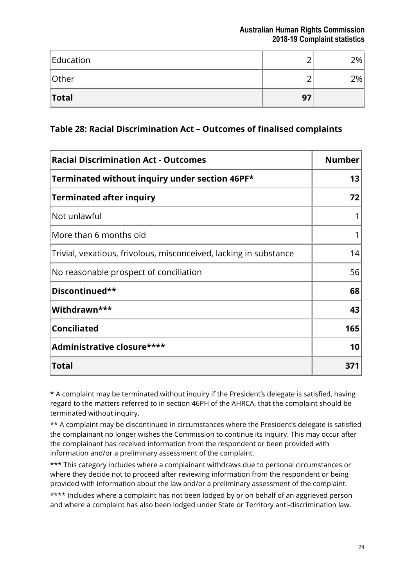| Education    |    | 2% |
|--------------|----|----|
| Other        |    | 2% |
| <b>Total</b> | 97 |    |

#### **Table 28: Racial Discrimination Act – Outcomes of finalised complaints**

| <b>Racial Discrimination Act - Outcomes</b>                       | <b>Number</b> |
|-------------------------------------------------------------------|---------------|
| Terminated without inquiry under section 46PF*                    | 13            |
| <b>Terminated after inquiry</b>                                   | 72            |
| Not unlawful                                                      |               |
| More than 6 months old                                            |               |
| Trivial, vexatious, frivolous, misconceived, lacking in substance | 14            |
| No reasonable prospect of conciliation                            | 56            |
| Discontinued**                                                    | 68            |
| Withdrawn***                                                      | 43            |
| <b>Conciliated</b>                                                | 165           |
| Administrative closure****                                        | 10            |
| <b>Total</b>                                                      | 371           |

\* A complaint may be terminated without inquiry if the President's delegate is satisfied, having regard to the matters referred to in section 46PH of the AHRCA, that the complaint should be terminated without inquiry.

\*\* A complaint may be discontinued in circumstances where the President's delegate is satisfied the complainant no longer wishes the Commission to continue its inquiry. This may occur after the complainant has received information from the respondent or been provided with information and/or a preliminary assessment of the complaint.

\*\*\* This category includes where a complainant withdraws due to personal circumstances or where they decide not to proceed after reviewing information from the respondent or being provided with information about the law and/or a preliminary assessment of the complaint.

\*\*\*\* Includes where a complaint has not been lodged by or on behalf of an aggrieved person and where a complaint has also been lodged under State or Territory anti-discrimination law.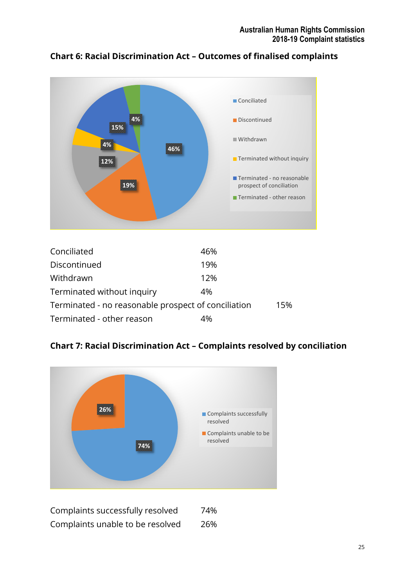

#### **Chart 6: Racial Discrimination Act – Outcomes of finalised complaints**

| Conciliated                                         | 46% |     |
|-----------------------------------------------------|-----|-----|
| Discontinued                                        | 19% |     |
| Withdrawn                                           | 12% |     |
| Terminated without inquiry                          | 4%  |     |
| Terminated - no reasonable prospect of conciliation |     | 15% |
| Terminated - other reason                           | 4%  |     |

#### **Chart 7: Racial Discrimination Act – Complaints resolved by conciliation**



Complaints successfully resolved 74% Complaints unable to be resolved 26%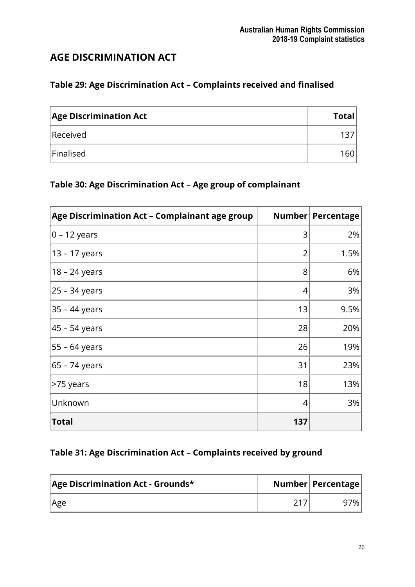# <span id="page-25-0"></span>**AGE DISCRIMINATION ACT**

# **Table 29: Age Discrimination Act – Complaints received and finalised**

| <b>Age Discrimination Act</b> | <b>Total</b>     |
|-------------------------------|------------------|
| Received                      |                  |
| Finalised                     | 160 <sub>1</sub> |

# **Table 30: Age Discrimination Act – Age group of complainant**

| Age Discrimination Act - Complainant age group | Number | Percentage |
|------------------------------------------------|--------|------------|
| $0 - 12$ years                                 | 3      | 2%         |
| 13 – 17 years                                  | 2      | 1.5%       |
| 18 – 24 years                                  | 8      | 6%         |
| 25 - 34 years                                  | 4      | 3%         |
| 35 – 44 years                                  | 13     | 9.5%       |
| 45 - 54 years                                  | 28     | 20%        |
| 55 – 64 years                                  | 26     | 19%        |
| 65 – 74 years                                  | 31     | 23%        |
| >75 years                                      | 18     | 13%        |
| Unknown                                        | 4      | 3%         |
| <b>Total</b>                                   | 137    |            |

### **Table 31: Age Discrimination Act – Complaints received by ground**

| Age Discrimination Act - Grounds* | Number   Percentage |
|-----------------------------------|---------------------|
| Age                               | 7% i                |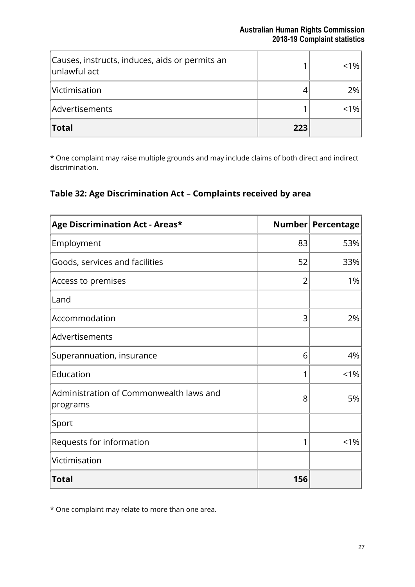| Causes, instructs, induces, aids or permits an<br>unlawful act |     | < 1% |
|----------------------------------------------------------------|-----|------|
| Victimisation                                                  |     | 2%   |
| Advertisements                                                 |     | %    |
| Total                                                          | 223 |      |

\* One complaint may raise multiple grounds and may include claims of both direct and indirect discrimination.

### **Table 32: Age Discrimination Act – Complaints received by area**

| Age Discrimination Act - Areas*                     |                | Number Percentage |
|-----------------------------------------------------|----------------|-------------------|
| Employment                                          | 83             | 53%               |
| Goods, services and facilities                      | 52             | 33%               |
| Access to premises                                  | $\overline{2}$ | 1%                |
| Land                                                |                |                   |
| Accommodation                                       | 3              | 2%                |
| Advertisements                                      |                |                   |
| Superannuation, insurance                           | 6              | 4%                |
| Education                                           | 1              | $< 1\%$           |
| Administration of Commonwealth laws and<br>programs | 8              | 5%                |
| Sport                                               |                |                   |
| Requests for information                            | 1              | < 1%              |
| Victimisation                                       |                |                   |
| <b>Total</b>                                        | 156            |                   |

\* One complaint may relate to more than one area.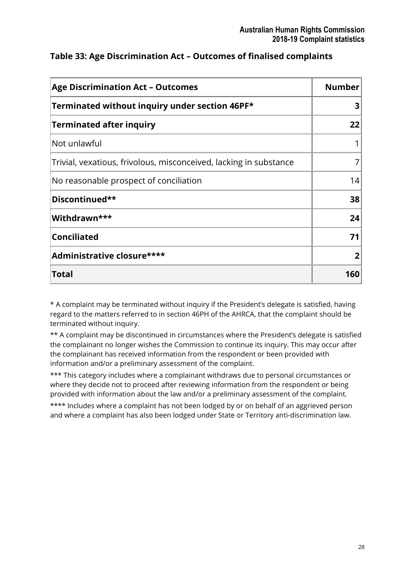| <b>Age Discrimination Act - Outcomes</b>                          | <b>Number</b> |
|-------------------------------------------------------------------|---------------|
| Terminated without inquiry under section 46PF*                    | 3             |
| <b>Terminated after inquiry</b>                                   | 22            |
| Not unlawful                                                      |               |
| Trivial, vexatious, frivolous, misconceived, lacking in substance |               |
| No reasonable prospect of conciliation                            | 14            |
| Discontinued**                                                    | 38            |
| Withdrawn***                                                      | 24            |
| <b>Conciliated</b>                                                | 71            |
| Administrative closure****                                        | 2             |
| Total                                                             | 160           |

### **Table 33: Age Discrimination Act – Outcomes of finalised complaints**

\* A complaint may be terminated without inquiry if the President's delegate is satisfied, having regard to the matters referred to in section 46PH of the AHRCA, that the complaint should be terminated without inquiry.

\*\* A complaint may be discontinued in circumstances where the President's delegate is satisfied the complainant no longer wishes the Commission to continue its inquiry. This may occur after the complainant has received information from the respondent or been provided with information and/or a preliminary assessment of the complaint.

\*\*\* This category includes where a complainant withdraws due to personal circumstances or where they decide not to proceed after reviewing information from the respondent or being provided with information about the law and/or a preliminary assessment of the complaint.

\*\*\*\* Includes where a complaint has not been lodged by or on behalf of an aggrieved person and where a complaint has also been lodged under State or Territory anti-discrimination law.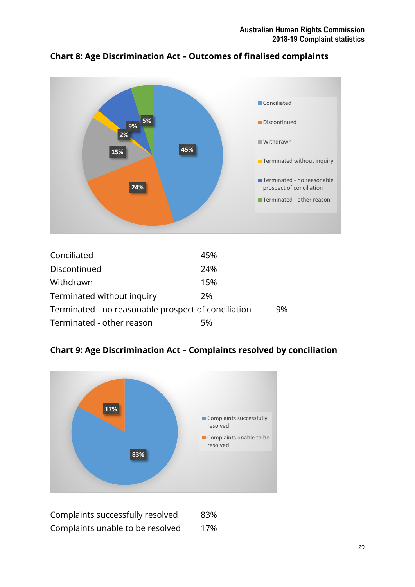

#### **Chart 8: Age Discrimination Act – Outcomes of finalised complaints**

| Conciliated                                         | 45% |    |
|-----------------------------------------------------|-----|----|
| Discontinued                                        | 24% |    |
| Withdrawn                                           | 15% |    |
| Terminated without inquiry                          | 2%  |    |
| Terminated - no reasonable prospect of conciliation |     | 9% |
| Terminated - other reason                           | 5%  |    |

### **Chart 9: Age Discrimination Act – Complaints resolved by conciliation**



Complaints successfully resolved 83% Complaints unable to be resolved 17%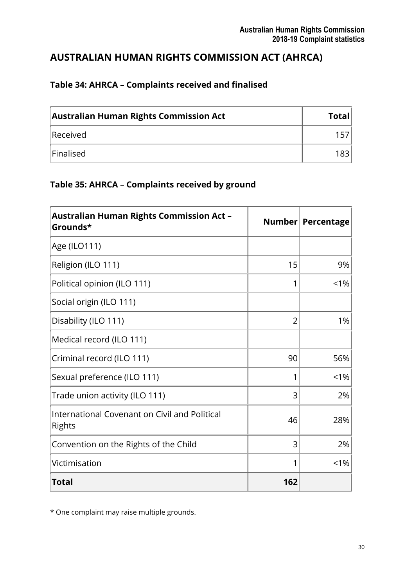# <span id="page-29-0"></span>**AUSTRALIAN HUMAN RIGHTS COMMISSION ACT (AHRCA)**

# **Table 34: AHRCA – Complaints received and finalised**

| <b>Australian Human Rights Commission Act</b> | <b>Total</b> |
|-----------------------------------------------|--------------|
| Received                                      | 157.         |
| Finalised                                     | 1831         |

### **Table 35: AHRCA – Complaints received by ground**

| <b>Australian Human Rights Commission Act -</b><br>Grounds* |                | Number   Percentage |
|-------------------------------------------------------------|----------------|---------------------|
| Age (ILO111)                                                |                |                     |
| Religion (ILO 111)                                          | 15             | 9%                  |
| Political opinion (ILO 111)                                 | 1              | $< 1\%$             |
| Social origin (ILO 111)                                     |                |                     |
| Disability (ILO 111)                                        | $\overline{2}$ | 1%                  |
| Medical record (ILO 111)                                    |                |                     |
| Criminal record (ILO 111)                                   | 90             | 56%                 |
| Sexual preference (ILO 111)                                 | 1              | $< 1\%$             |
| Trade union activity (ILO 111)                              | 3              | 2%                  |
| International Covenant on Civil and Political<br>Rights     | 46             | 28%                 |
| Convention on the Rights of the Child                       | 3              | 2%                  |
| Victimisation                                               | 1              | $< 1\%$             |
| <b>Total</b>                                                | 162            |                     |

\* One complaint may raise multiple grounds.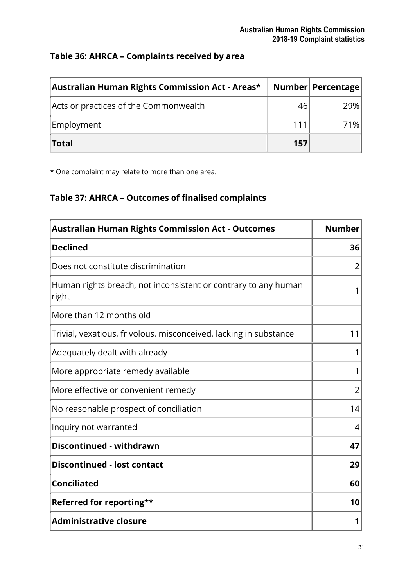### **Table 36: AHRCA – Complaints received by area**

| Australian Human Rights Commission Act - Areas* |     | Number   Percentage |
|-------------------------------------------------|-----|---------------------|
| Acts or practices of the Commonwealth           | 46  | 29%                 |
| Employment                                      | 111 | 71%                 |
| <b>Total</b>                                    | 157 |                     |

\* One complaint may relate to more than one area.

# **Table 37: AHRCA – Outcomes of finalised complaints**

| <b>Australian Human Rights Commission Act - Outcomes</b>                | <b>Number</b>  |
|-------------------------------------------------------------------------|----------------|
| <b>Declined</b>                                                         | 36             |
| Does not constitute discrimination                                      | $\overline{2}$ |
| Human rights breach, not inconsistent or contrary to any human<br>right | 1              |
| More than 12 months old                                                 |                |
| Trivial, vexatious, frivolous, misconceived, lacking in substance       | 11             |
| Adequately dealt with already                                           | 1              |
| More appropriate remedy available                                       | 1              |
| More effective or convenient remedy                                     | $\overline{2}$ |
| No reasonable prospect of conciliation                                  | 14             |
| Inquiry not warranted                                                   | 4              |
| Discontinued - withdrawn                                                | 47             |
| <b>Discontinued - lost contact</b>                                      | 29             |
| <b>Conciliated</b>                                                      | 60             |
| Referred for reporting**                                                | 10             |
| <b>Administrative closure</b>                                           | 1              |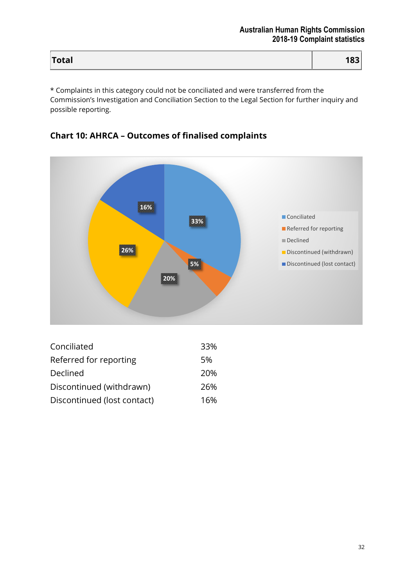| Total | 183 |
|-------|-----|
|       |     |

\* Complaints in this category could not be conciliated and were transferred from the Commission's Investigation and Conciliation Section to the Legal Section for further inquiry and possible reporting.

### **Chart 10: AHRCA – Outcomes of finalised complaints**



| Conciliated                 | 33% |
|-----------------------------|-----|
| Referred for reporting      | 5%  |
| Declined                    | 20% |
| Discontinued (withdrawn)    | 26% |
| Discontinued (lost contact) | 16% |